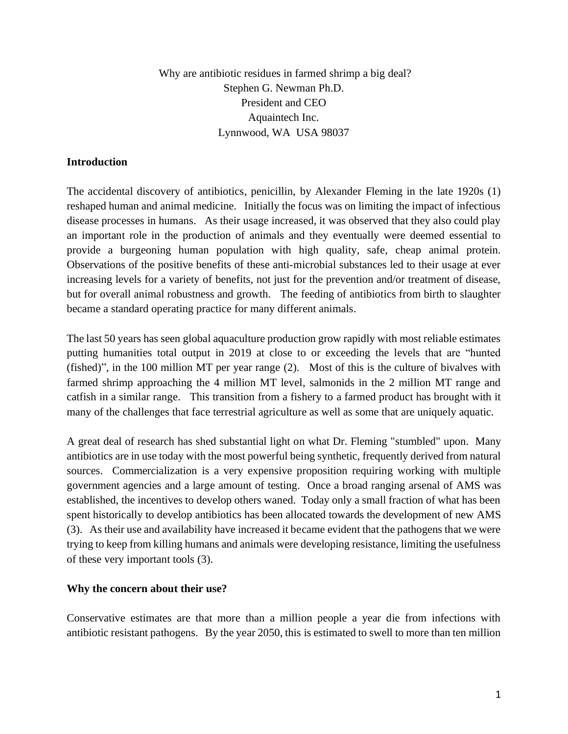Why are antibiotic residues in farmed shrimp a big deal? Stephen G. Newman Ph.D. President and CEO Aquaintech Inc. Lynnwood, WA USA 98037

## **Introduction**

The accidental discovery of antibiotics, penicillin, by Alexander Fleming in the late 1920s (1) reshaped human and animal medicine. Initially the focus was on limiting the impact of infectious disease processes in humans. As their usage increased, it was observed that they also could play an important role in the production of animals and they eventually were deemed essential to provide a burgeoning human population with high quality, safe, cheap animal protein. Observations of the positive benefits of these anti-microbial substances led to their usage at ever increasing levels for a variety of benefits, not just for the prevention and/or treatment of disease, but for overall animal robustness and growth. The feeding of antibiotics from birth to slaughter became a standard operating practice for many different animals.

The last 50 years has seen global aquaculture production grow rapidly with most reliable estimates putting humanities total output in 2019 at close to or exceeding the levels that are "hunted (fished)", in the 100 million MT per year range (2). Most of this is the culture of bivalves with farmed shrimp approaching the 4 million MT level, salmonids in the 2 million MT range and catfish in a similar range. This transition from a fishery to a farmed product has brought with it many of the challenges that face terrestrial agriculture as well as some that are uniquely aquatic.

A great deal of research has shed substantial light on what Dr. Fleming "stumbled" upon. Many antibiotics are in use today with the most powerful being synthetic, frequently derived from natural sources. Commercialization is a very expensive proposition requiring working with multiple government agencies and a large amount of testing. Once a broad ranging arsenal of AMS was established, the incentives to develop others waned. Today only a small fraction of what has been spent historically to develop antibiotics has been allocated towards the development of new AMS (3). As their use and availability have increased it became evident that the pathogens that we were trying to keep from killing humans and animals were developing resistance, limiting the usefulness of these very important tools (3).

#### **Why the concern about their use?**

Conservative estimates are that more than a million people a year die from infections with antibiotic resistant pathogens. By the year 2050, this is estimated to swell to more than ten million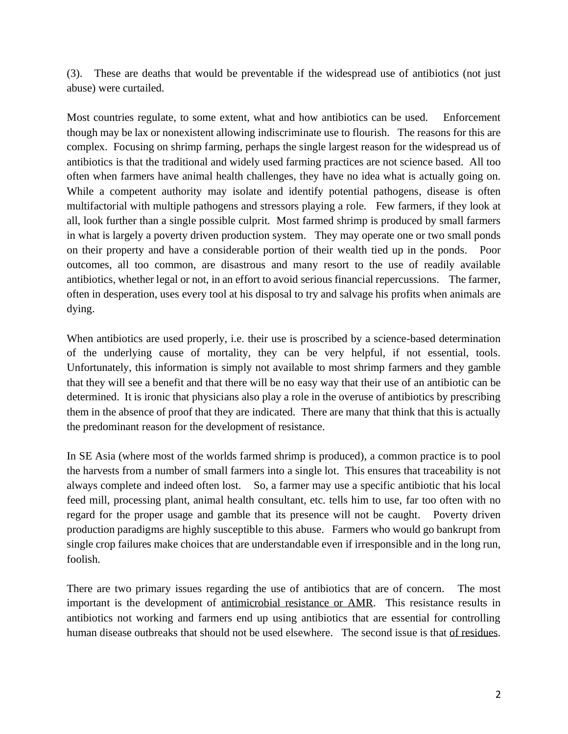(3). These are deaths that would be preventable if the widespread use of antibiotics (not just abuse) were curtailed.

Most countries regulate, to some extent, what and how antibiotics can be used. Enforcement though may be lax or nonexistent allowing indiscriminate use to flourish. The reasons for this are complex. Focusing on shrimp farming, perhaps the single largest reason for the widespread us of antibiotics is that the traditional and widely used farming practices are not science based. All too often when farmers have animal health challenges, they have no idea what is actually going on. While a competent authority may isolate and identify potential pathogens, disease is often multifactorial with multiple pathogens and stressors playing a role. Few farmers, if they look at all, look further than a single possible culprit. Most farmed shrimp is produced by small farmers in what is largely a poverty driven production system. They may operate one or two small ponds on their property and have a considerable portion of their wealth tied up in the ponds. Poor outcomes, all too common, are disastrous and many resort to the use of readily available antibiotics, whether legal or not, in an effort to avoid serious financial repercussions. The farmer, often in desperation, uses every tool at his disposal to try and salvage his profits when animals are dying.

When antibiotics are used properly, i.e. their use is proscribed by a science-based determination of the underlying cause of mortality, they can be very helpful, if not essential, tools. Unfortunately, this information is simply not available to most shrimp farmers and they gamble that they will see a benefit and that there will be no easy way that their use of an antibiotic can be determined. It is ironic that physicians also play a role in the overuse of antibiotics by prescribing them in the absence of proof that they are indicated. There are many that think that this is actually the predominant reason for the development of resistance.

In SE Asia (where most of the worlds farmed shrimp is produced), a common practice is to pool the harvests from a number of small farmers into a single lot. This ensures that traceability is not always complete and indeed often lost. So, a farmer may use a specific antibiotic that his local feed mill, processing plant, animal health consultant, etc. tells him to use, far too often with no regard for the proper usage and gamble that its presence will not be caught. Poverty driven production paradigms are highly susceptible to this abuse. Farmers who would go bankrupt from single crop failures make choices that are understandable even if irresponsible and in the long run, foolish.

There are two primary issues regarding the use of antibiotics that are of concern. The most important is the development of antimicrobial resistance or AMR. This resistance results in antibiotics not working and farmers end up using antibiotics that are essential for controlling human disease outbreaks that should not be used elsewhere. The second issue is that of residues.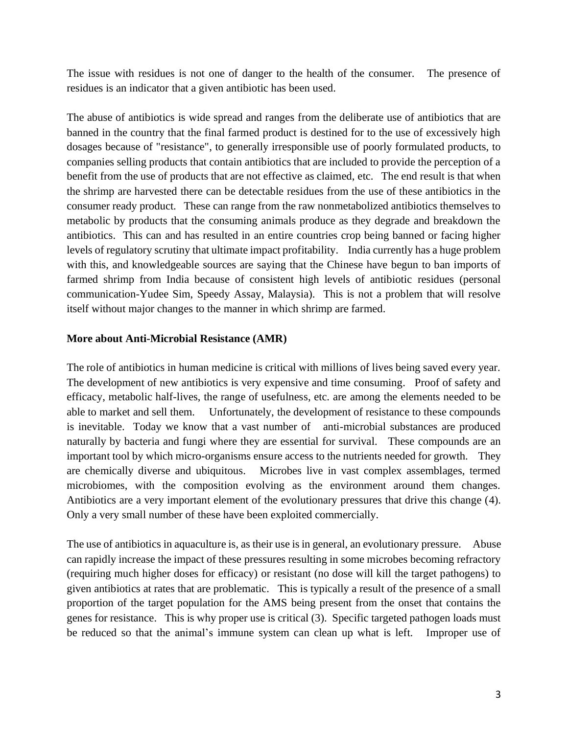The issue with residues is not one of danger to the health of the consumer. The presence of residues is an indicator that a given antibiotic has been used.

The abuse of antibiotics is wide spread and ranges from the deliberate use of antibiotics that are banned in the country that the final farmed product is destined for to the use of excessively high dosages because of "resistance", to generally irresponsible use of poorly formulated products, to companies selling products that contain antibiotics that are included to provide the perception of a benefit from the use of products that are not effective as claimed, etc. The end result is that when the shrimp are harvested there can be detectable residues from the use of these antibiotics in the consumer ready product. These can range from the raw nonmetabolized antibiotics themselves to metabolic by products that the consuming animals produce as they degrade and breakdown the antibiotics. This can and has resulted in an entire countries crop being banned or facing higher levels of regulatory scrutiny that ultimate impact profitability. India currently has a huge problem with this, and knowledgeable sources are saying that the Chinese have begun to ban imports of farmed shrimp from India because of consistent high levels of antibiotic residues (personal communication-Yudee Sim, Speedy Assay, Malaysia). This is not a problem that will resolve itself without major changes to the manner in which shrimp are farmed.

# **More about Anti-Microbial Resistance (AMR)**

The role of antibiotics in human medicine is critical with millions of lives being saved every year. The development of new antibiotics is very expensive and time consuming. Proof of safety and efficacy, metabolic half-lives, the range of usefulness, etc. are among the elements needed to be able to market and sell them. Unfortunately, the development of resistance to these compounds is inevitable. Today we know that a vast number of anti-microbial substances are produced naturally by bacteria and fungi where they are essential for survival. These compounds are an important tool by which micro-organisms ensure access to the nutrients needed for growth. They are chemically diverse and ubiquitous. Microbes live in vast complex assemblages, termed microbiomes, with the composition evolving as the environment around them changes. Antibiotics are a very important element of the evolutionary pressures that drive this change (4). Only a very small number of these have been exploited commercially.

The use of antibiotics in aquaculture is, as their use is in general, an evolutionary pressure. Abuse can rapidly increase the impact of these pressures resulting in some microbes becoming refractory (requiring much higher doses for efficacy) or resistant (no dose will kill the target pathogens) to given antibiotics at rates that are problematic. This is typically a result of the presence of a small proportion of the target population for the AMS being present from the onset that contains the genes for resistance. This is why proper use is critical (3). Specific targeted pathogen loads must be reduced so that the animal's immune system can clean up what is left. Improper use of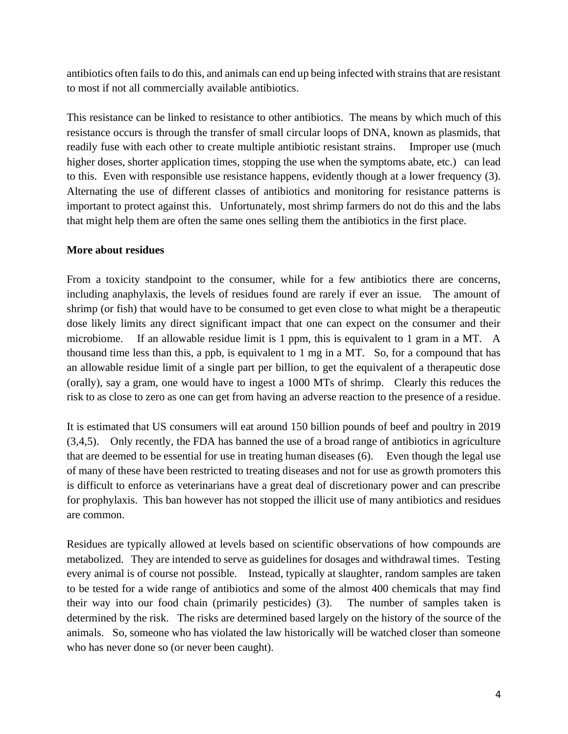antibiotics often fails to do this, and animals can end up being infected with strains that are resistant to most if not all commercially available antibiotics.

This resistance can be linked to resistance to other antibiotics. The means by which much of this resistance occurs is through the transfer of small circular loops of DNA, known as plasmids, that readily fuse with each other to create multiple antibiotic resistant strains. Improper use (much higher doses, shorter application times, stopping the use when the symptoms abate, etc.) can lead to this. Even with responsible use resistance happens, evidently though at a lower frequency (3). Alternating the use of different classes of antibiotics and monitoring for resistance patterns is important to protect against this. Unfortunately, most shrimp farmers do not do this and the labs that might help them are often the same ones selling them the antibiotics in the first place.

# **More about residues**

From a toxicity standpoint to the consumer, while for a few antibiotics there are concerns, including anaphylaxis, the levels of residues found are rarely if ever an issue. The amount of shrimp (or fish) that would have to be consumed to get even close to what might be a therapeutic dose likely limits any direct significant impact that one can expect on the consumer and their microbiome. If an allowable residue limit is 1 ppm, this is equivalent to 1 gram in a MT. A thousand time less than this, a ppb, is equivalent to 1 mg in a MT. So, for a compound that has an allowable residue limit of a single part per billion, to get the equivalent of a therapeutic dose (orally), say a gram, one would have to ingest a 1000 MTs of shrimp. Clearly this reduces the risk to as close to zero as one can get from having an adverse reaction to the presence of a residue.

It is estimated that US consumers will eat around 150 billion pounds of beef and poultry in 2019 (3,4,5). Only recently, the FDA has banned the use of a broad range of antibiotics in agriculture that are deemed to be essential for use in treating human diseases (6). Even though the legal use of many of these have been restricted to treating diseases and not for use as growth promoters this is difficult to enforce as veterinarians have a great deal of discretionary power and can prescribe for prophylaxis. This ban however has not stopped the illicit use of many antibiotics and residues are common.

Residues are typically allowed at levels based on scientific observations of how compounds are metabolized. They are intended to serve as guidelines for dosages and withdrawal times. Testing every animal is of course not possible. Instead, typically at slaughter, random samples are taken to be tested for a wide range of antibiotics and some of the almost 400 chemicals that may find their way into our food chain (primarily pesticides) (3). The number of samples taken is determined by the risk. The risks are determined based largely on the history of the source of the animals. So, someone who has violated the law historically will be watched closer than someone who has never done so (or never been caught).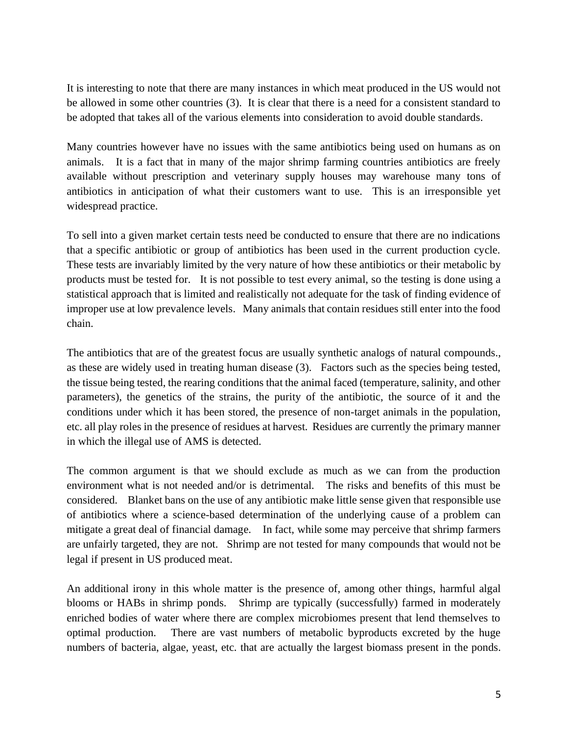It is interesting to note that there are many instances in which meat produced in the US would not be allowed in some other countries (3). It is clear that there is a need for a consistent standard to be adopted that takes all of the various elements into consideration to avoid double standards.

Many countries however have no issues with the same antibiotics being used on humans as on animals. It is a fact that in many of the major shrimp farming countries antibiotics are freely available without prescription and veterinary supply houses may warehouse many tons of antibiotics in anticipation of what their customers want to use. This is an irresponsible yet widespread practice.

To sell into a given market certain tests need be conducted to ensure that there are no indications that a specific antibiotic or group of antibiotics has been used in the current production cycle. These tests are invariably limited by the very nature of how these antibiotics or their metabolic by products must be tested for. It is not possible to test every animal, so the testing is done using a statistical approach that is limited and realistically not adequate for the task of finding evidence of improper use at low prevalence levels. Many animals that contain residues still enter into the food chain.

The antibiotics that are of the greatest focus are usually synthetic analogs of natural compounds., as these are widely used in treating human disease (3). Factors such as the species being tested, the tissue being tested, the rearing conditions that the animal faced (temperature, salinity, and other parameters), the genetics of the strains, the purity of the antibiotic, the source of it and the conditions under which it has been stored, the presence of non-target animals in the population, etc. all play roles in the presence of residues at harvest. Residues are currently the primary manner in which the illegal use of AMS is detected.

The common argument is that we should exclude as much as we can from the production environment what is not needed and/or is detrimental. The risks and benefits of this must be considered. Blanket bans on the use of any antibiotic make little sense given that responsible use of antibiotics where a science-based determination of the underlying cause of a problem can mitigate a great deal of financial damage. In fact, while some may perceive that shrimp farmers are unfairly targeted, they are not. Shrimp are not tested for many compounds that would not be legal if present in US produced meat.

An additional irony in this whole matter is the presence of, among other things, harmful algal blooms or HABs in shrimp ponds. Shrimp are typically (successfully) farmed in moderately enriched bodies of water where there are complex microbiomes present that lend themselves to optimal production. There are vast numbers of metabolic byproducts excreted by the huge numbers of bacteria, algae, yeast, etc. that are actually the largest biomass present in the ponds.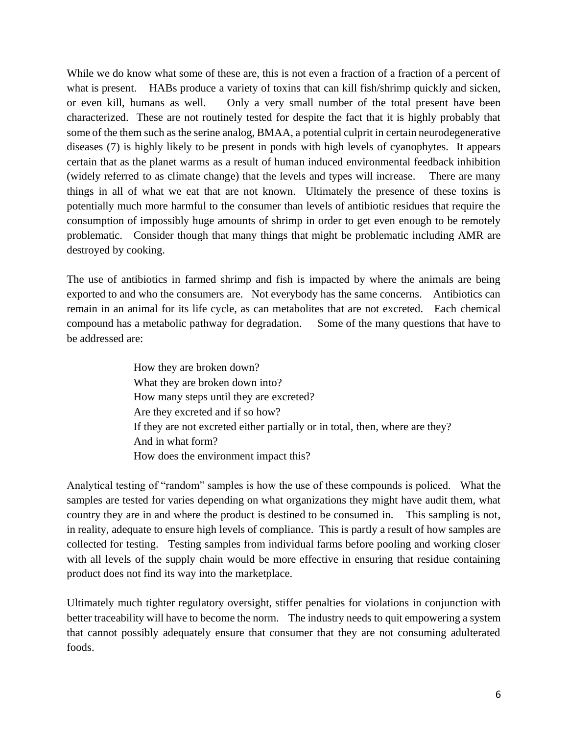While we do know what some of these are, this is not even a fraction of a fraction of a percent of what is present. HABs produce a variety of toxins that can kill fish/shrimp quickly and sicken, or even kill, humans as well. Only a very small number of the total present have been characterized. These are not routinely tested for despite the fact that it is highly probably that some of the them such as the serine analog, BMAA, a potential culprit in certain neurodegenerative diseases (7) is highly likely to be present in ponds with high levels of cyanophytes. It appears certain that as the planet warms as a result of human induced environmental feedback inhibition (widely referred to as climate change) that the levels and types will increase. There are many things in all of what we eat that are not known. Ultimately the presence of these toxins is potentially much more harmful to the consumer than levels of antibiotic residues that require the consumption of impossibly huge amounts of shrimp in order to get even enough to be remotely problematic. Consider though that many things that might be problematic including AMR are destroyed by cooking.

The use of antibiotics in farmed shrimp and fish is impacted by where the animals are being exported to and who the consumers are. Not everybody has the same concerns. Antibiotics can remain in an animal for its life cycle, as can metabolites that are not excreted. Each chemical compound has a metabolic pathway for degradation. Some of the many questions that have to be addressed are:

> How they are broken down? What they are broken down into? How many steps until they are excreted? Are they excreted and if so how? If they are not excreted either partially or in total, then, where are they? And in what form? How does the environment impact this?

Analytical testing of "random" samples is how the use of these compounds is policed. What the samples are tested for varies depending on what organizations they might have audit them, what country they are in and where the product is destined to be consumed in. This sampling is not, in reality, adequate to ensure high levels of compliance. This is partly a result of how samples are collected for testing. Testing samples from individual farms before pooling and working closer with all levels of the supply chain would be more effective in ensuring that residue containing product does not find its way into the marketplace.

Ultimately much tighter regulatory oversight, stiffer penalties for violations in conjunction with better traceability will have to become the norm. The industry needs to quit empowering a system that cannot possibly adequately ensure that consumer that they are not consuming adulterated foods.